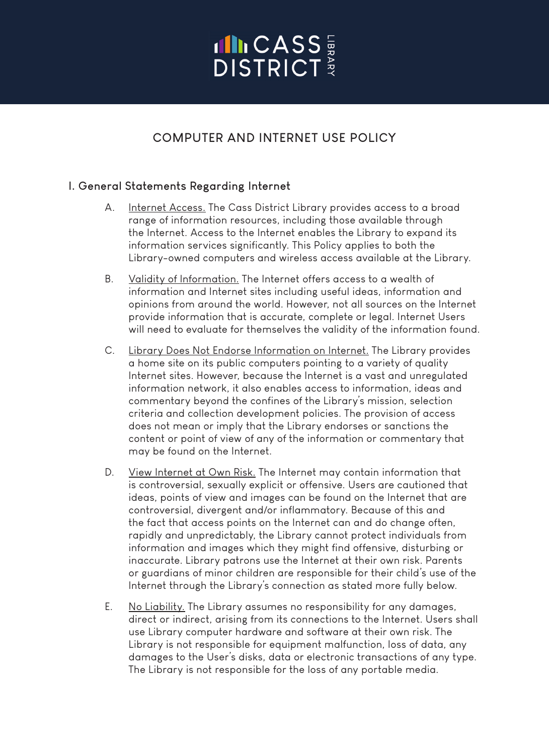# **INCASS**

## **COMPUTER AND INTERNET USE POLICY**

## **I. General Statements Regarding Internet**

- A. Internet Access. The Cass District Library provides access to a broad range of information resources, including those available through the Internet. Access to the Internet enables the Library to expand its information services significantly. This Policy applies to both the Library-owned computers and wireless access available at the Library.
- B. Validity of Information. The Internet offers access to a wealth of information and Internet sites including useful ideas, information and opinions from around the world. However, not all sources on the Internet provide information that is accurate, complete or legal. Internet Users will need to evaluate for themselves the validity of the information found.
- C. Library Does Not Endorse Information on Internet. The Library provides a home site on its public computers pointing to a variety of quality Internet sites. However, because the Internet is a vast and unregulated information network, it also enables access to information, ideas and commentary beyond the confines of the Library's mission, selection criteria and collection development policies. The provision of access does not mean or imply that the Library endorses or sanctions the content or point of view of any of the information or commentary that may be found on the Internet.
- D. View Internet at Own Risk. The Internet may contain information that is controversial, sexually explicit or offensive. Users are cautioned that ideas, points of view and images can be found on the Internet that are controversial, divergent and/or inflammatory. Because of this and the fact that access points on the Internet can and do change often, rapidly and unpredictably, the Library cannot protect individuals from information and images which they might find offensive, disturbing or inaccurate. Library patrons use the Internet at their own risk. Parents or guardians of minor children are responsible for their child's use of the Internet through the Library's connection as stated more fully below.
- E. No Liability. The Library assumes no responsibility for any damages, direct or indirect, arising from its connections to the Internet. Users shall use Library computer hardware and software at their own risk. The Library is not responsible for equipment malfunction, loss of data, any damages to the User's disks, data or electronic transactions of any type. The Library is not responsible for the loss of any portable media.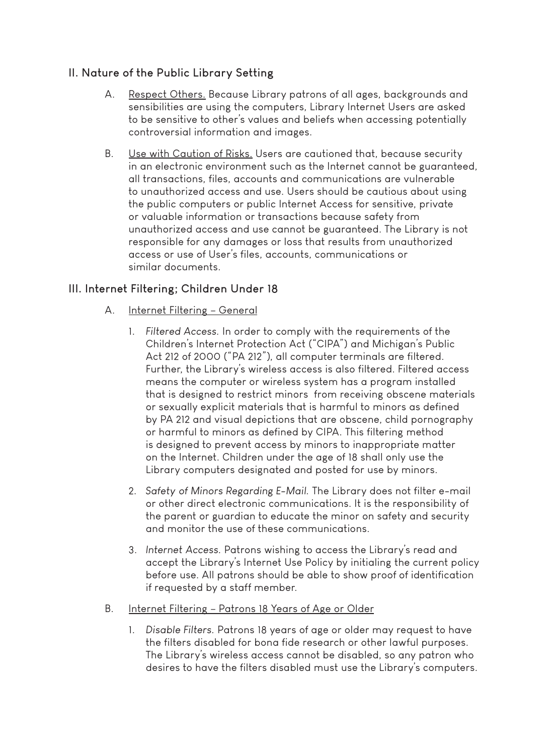## **II. Nature of the Public Library Setting**

- A. Respect Others. Because Library patrons of all ages, backgrounds and sensibilities are using the computers, Library Internet Users are asked to be sensitive to other's values and beliefs when accessing potentially controversial information and images.
- B. Use with Caution of Risks. Users are cautioned that, because security in an electronic environment such as the Internet cannot be guaranteed, all transactions, files, accounts and communications are vulnerable to unauthorized access and use. Users should be cautious about using the public computers or public Internet Access for sensitive, private or valuable information or transactions because safety from unauthorized access and use cannot be guaranteed. The Library is not responsible for any damages or loss that results from unauthorized access or use of User's files, accounts, communications or similar documents.

## **III. Internet Filtering; Children Under 18**

- A. Internet Filtering General
	- 1. *Filtered Access.* In order to comply with the requirements of the Children's Internet Protection Act ("CIPA") and Michigan's Public Act 212 of 2000 ("PA 212"), all computer terminals are filtered. Further, the Library's wireless access is also filtered. Filtered access means the computer or wireless system has a program installed that is designed to restrict minors from receiving obscene materials or sexually explicit materials that is harmful to minors as defined by PA 212 and visual depictions that are obscene, child pornography or harmful to minors as defined by CIPA. This filtering method is designed to prevent access by minors to inappropriate matter on the Internet. Children under the age of 18 shall only use the Library computers designated and posted for use by minors.
	- 2. *Safety of Minors Regarding E-Mail.* The Library does not filter e-mail or other direct electronic communications. It is the responsibility of the parent or guardian to educate the minor on safety and security and monitor the use of these communications.
	- 3. *Internet Access.* Patrons wishing to access the Library's read and accept the Library's Internet Use Policy by initialing the current policy before use. All patrons should be able to show proof of identification if requested by a staff member.
- B. Internet Filtering Patrons 18 Years of Age or Older
	- 1. *Disable Filters.* Patrons 18 years of age or older may request to have the filters disabled for bona fide research or other lawful purposes. The Library's wireless access cannot be disabled, so any patron who desires to have the filters disabled must use the Library's computers.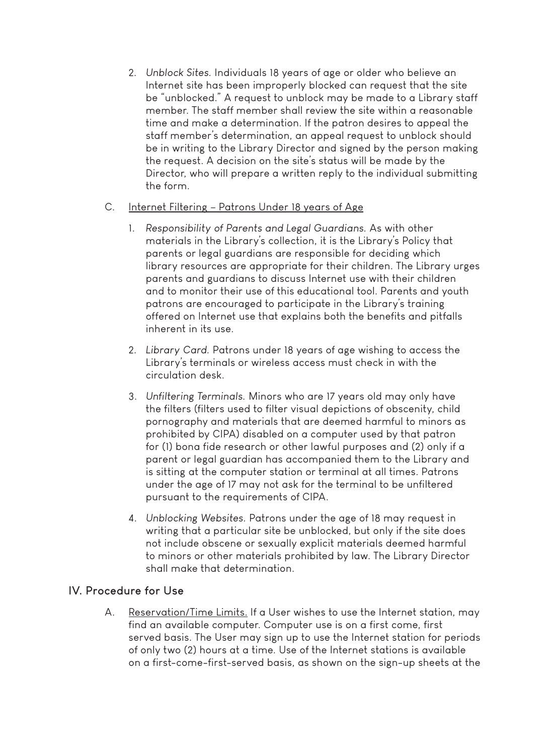2. *Unblock Sites.* Individuals 18 years of age or older who believe an Internet site has been improperly blocked can request that the site be "unblocked." A request to unblock may be made to a Library staff member. The staff member shall review the site within a reasonable time and make a determination. If the patron desires to appeal the staff member's determination, an appeal request to unblock should be in writing to the Library Director and signed by the person making the request. A decision on the site's status will be made by the Director, who will prepare a written reply to the individual submitting the form.

#### C. Internet Filtering – Patrons Under 18 years of Age

- 1. *Responsibility of Parents and Legal Guardians.* As with other materials in the Library's collection, it is the Library's Policy that parents or legal guardians are responsible for deciding which library resources are appropriate for their children. The Library urges parents and guardians to discuss Internet use with their children and to monitor their use of this educational tool. Parents and youth patrons are encouraged to participate in the Library's training offered on Internet use that explains both the benefits and pitfalls inherent in its use.
- 2. *Library Card.* Patrons under 18 years of age wishing to access the Library's terminals or wireless access must check in with the circulation desk.
- 3. *Unfiltering Terminals.* Minors who are 17 years old may only have the filters (filters used to filter visual depictions of obscenity, child pornography and materials that are deemed harmful to minors as prohibited by CIPA) disabled on a computer used by that patron for (1) bona fide research or other lawful purposes and (2) only if a parent or legal guardian has accompanied them to the Library and is sitting at the computer station or terminal at all times. Patrons under the age of 17 may not ask for the terminal to be unfiltered pursuant to the requirements of CIPA.
- 4. *Unblocking Websites.* Patrons under the age of 18 may request in writing that a particular site be unblocked, but only if the site does not include obscene or sexually explicit materials deemed harmful to minors or other materials prohibited by law. The Library Director shall make that determination.

#### **IV. Procedure for Use**

A. Reservation/Time Limits. If a User wishes to use the Internet station, may find an available computer. Computer use is on a first come, first served basis. The User may sign up to use the Internet station for periods of only two (2) hours at a time. Use of the Internet stations is available on a first-come-first-served basis, as shown on the sign-up sheets at the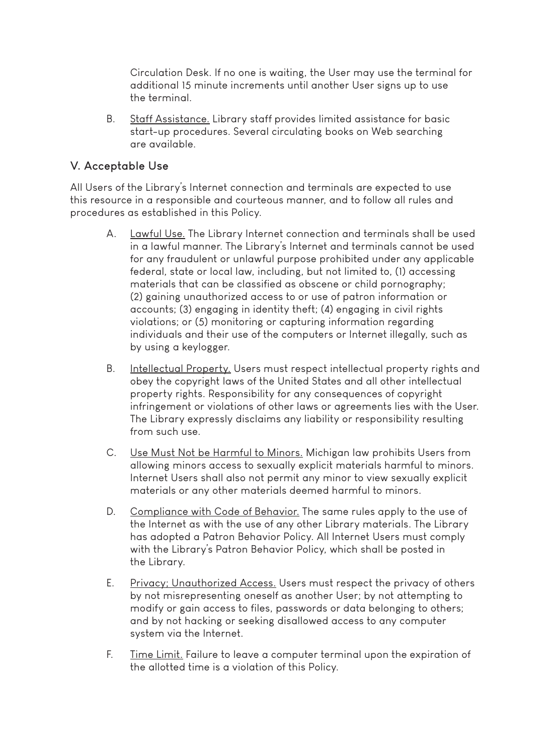Circulation Desk. If no one is waiting, the User may use the terminal for additional 15 minute increments until another User signs up to use the terminal.

B. Staff Assistance. Library staff provides limited assistance for basic start-up procedures. Several circulating books on Web searching are available.

#### **V. Acceptable Use**

All Users of the Library's Internet connection and terminals are expected to use this resource in a responsible and courteous manner, and to follow all rules and procedures as established in this Policy.

- A. Lawful Use. The Library Internet connection and terminals shall be used in a lawful manner. The Library's Internet and terminals cannot be used for any fraudulent or unlawful purpose prohibited under any applicable federal, state or local law, including, but not limited to, (1) accessing materials that can be classified as obscene or child pornography; (2) gaining unauthorized access to or use of patron information or accounts; (3) engaging in identity theft; (4) engaging in civil rights violations; or (5) monitoring or capturing information regarding individuals and their use of the computers or Internet illegally, such as by using a keylogger.
- B. Intellectual Property. Users must respect intellectual property rights and obey the copyright laws of the United States and all other intellectual property rights. Responsibility for any consequences of copyright infringement or violations of other laws or agreements lies with the User. The Library expressly disclaims any liability or responsibility resulting from such use.
- C. Use Must Not be Harmful to Minors. Michigan law prohibits Users from allowing minors access to sexually explicit materials harmful to minors. Internet Users shall also not permit any minor to view sexually explicit materials or any other materials deemed harmful to minors.
- D. Compliance with Code of Behavior. The same rules apply to the use of the Internet as with the use of any other Library materials. The Library has adopted a Patron Behavior Policy. All Internet Users must comply with the Library's Patron Behavior Policy, which shall be posted in the Library.
- E. Privacy; Unauthorized Access. Users must respect the privacy of others by not misrepresenting oneself as another User; by not attempting to modify or gain access to files, passwords or data belonging to others; and by not hacking or seeking disallowed access to any computer system via the Internet.
- F. Time Limit. Failure to leave a computer terminal upon the expiration of the allotted time is a violation of this Policy.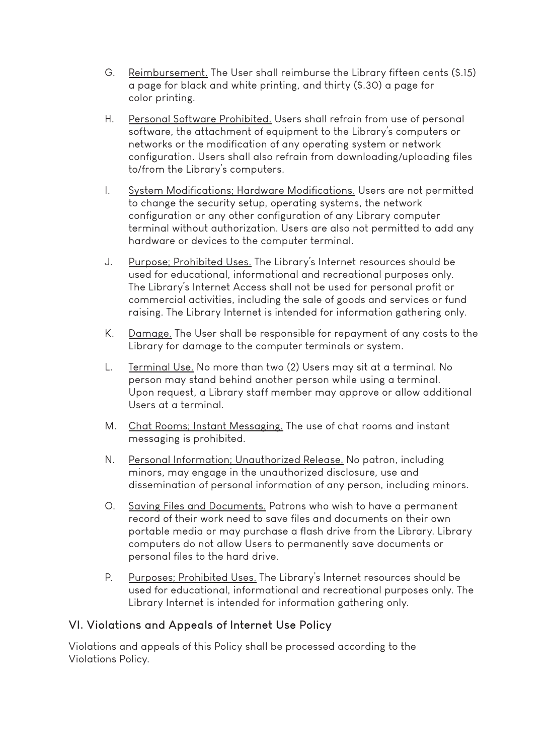- G. Reimbursement. The User shall reimburse the Library fifteen cents (\$.15) a page for black and white printing, and thirty (\$.30) a page for color printing.
- H. Personal Software Prohibited. Users shall refrain from use of personal software, the attachment of equipment to the Library's computers or networks or the modification of any operating system or network configuration. Users shall also refrain from downloading/uploading files to/from the Library's computers.
- I. System Modifications; Hardware Modifications. Users are not permitted to change the security setup, operating systems, the network configuration or any other configuration of any Library computer terminal without authorization. Users are also not permitted to add any hardware or devices to the computer terminal.
- J. Purpose; Prohibited Uses. The Library's Internet resources should be used for educational, informational and recreational purposes only. The Library's Internet Access shall not be used for personal profit or commercial activities, including the sale of goods and services or fund raising. The Library Internet is intended for information gathering only.
- K. Damage. The User shall be responsible for repayment of any costs to the Library for damage to the computer terminals or system.
- L. Terminal Use. No more than two (2) Users may sit at a terminal. No person may stand behind another person while using a terminal. Upon request, a Library staff member may approve or allow additional Users at a terminal.
- M. Chat Rooms; Instant Messaging. The use of chat rooms and instant messaging is prohibited.
- N. Personal Information; Unauthorized Release. No patron, including minors, may engage in the unauthorized disclosure, use and dissemination of personal information of any person, including minors.
- O. Saving Files and Documents. Patrons who wish to have a permanent record of their work need to save files and documents on their own portable media or may purchase a flash drive from the Library. Library computers do not allow Users to permanently save documents or personal files to the hard drive.
- P. Purposes; Prohibited Uses. The Library's Internet resources should be used for educational, informational and recreational purposes only. The Library Internet is intended for information gathering only.

#### **VI. Violations and Appeals of Internet Use Policy**

Violations and appeals of this Policy shall be processed according to the Violations Policy.